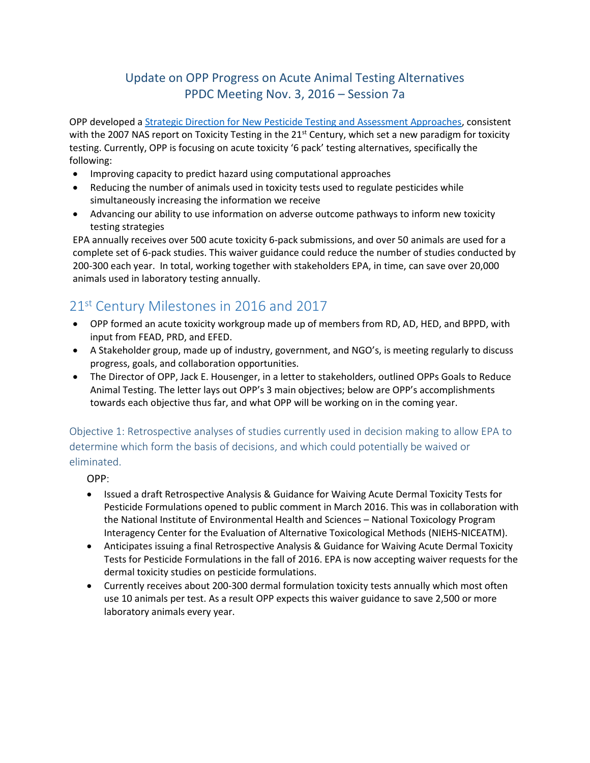## Update on OPP Progress on Acute Animal Testing Alternatives PPDC Meeting Nov. 3, 2016 – Session 7a

OPP developed [a Strategic Direction for New Pesticide Testing and Assessment Approaches,](https://www.epa.gov/pesticide-science-and-assessing-pesticide-risks/strategic-vision-adopting-21st-century-science) consistent with the 2007 NAS report on Toxicity Testing in the  $21<sup>st</sup>$  Century, which set a new paradigm for toxicity testing. Currently, OPP is focusing on acute toxicity '6 pack' testing alternatives, specifically the following:

- Improving capacity to predict hazard using computational approaches
- Reducing the number of animals used in toxicity tests used to regulate pesticides while simultaneously increasing the information we receive
- Advancing our ability to use information on adverse outcome pathways to inform new toxicity testing strategies

EPA annually receives over 500 acute toxicity 6-pack submissions, and over 50 animals are used for a complete set of 6-pack studies. This waiver guidance could reduce the number of studies conducted by 200-300 each year. In total, working together with stakeholders EPA, in time, can save over 20,000 animals used in laboratory testing annually.

## 21<sup>st</sup> Century Milestones in 2016 and 2017

- OPP formed an acute toxicity workgroup made up of members from RD, AD, HED, and BPPD, with input from FEAD, PRD, and EFED.
- A Stakeholder group, made up of industry, government, and NGO's, is meeting regularly to discuss progress, goals, and collaboration opportunities.
- The Director of OPP, Jack E. Housenger, in a letter to stakeholders, outlined OPPs Goals to Reduce Animal Testing. The letter lays out OPP's 3 main objectives; below are OPP's accomplishments towards each objective thus far, and what OPP will be working on in the coming year.

Objective 1: Retrospective analyses of studies currently used in decision making to allow EPA to determine which form the basis of decisions, and which could potentially be waived or eliminated.

OPP:

- Issued a draft Retrospective Analysis & Guidance for Waiving Acute Dermal Toxicity Tests for Pesticide Formulations opened to public comment in March 2016. This was in collaboration with the National Institute of Environmental Health and Sciences – National Toxicology Program Interagency Center for the Evaluation of Alternative Toxicological Methods (NIEHS-NICEATM).
- Anticipates issuing a final Retrospective Analysis & Guidance for Waiving Acute Dermal Toxicity Tests for Pesticide Formulations in the fall of 2016. EPA is now accepting waiver requests for the dermal toxicity studies on pesticide formulations.
- Currently receives about 200-300 dermal formulation toxicity tests annually which most often use 10 animals per test. As a result OPP expects this waiver guidance to save 2,500 or more laboratory animals every year.